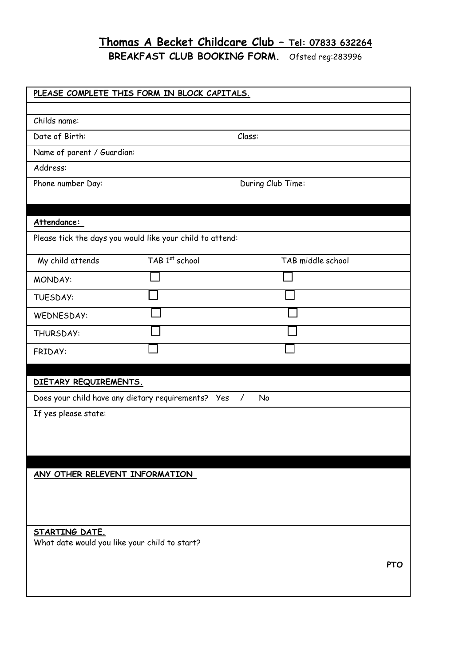# **Thomas A Becket Childcare Club – Tel: 07833 632264**

**BREAKFAST CLUB BOOKING FORM.** Ofsted reg:283996

| PLEASE COMPLETE THIS FORM IN BLOCK CAPITALS.                                  |                                                           |                   |            |
|-------------------------------------------------------------------------------|-----------------------------------------------------------|-------------------|------------|
|                                                                               |                                                           |                   |            |
| Childs name:                                                                  |                                                           |                   |            |
| Date of Birth:<br>Class:                                                      |                                                           |                   |            |
| Name of parent / Guardian:                                                    |                                                           |                   |            |
| Address:                                                                      |                                                           |                   |            |
| Phone number Day:                                                             |                                                           | During Club Time: |            |
|                                                                               |                                                           |                   |            |
| Attendance:                                                                   |                                                           |                   |            |
|                                                                               | Please tick the days you would like your child to attend: |                   |            |
| My child attends                                                              | TAB 1st school                                            | TAB middle school |            |
| MONDAY:                                                                       |                                                           |                   |            |
| <b>TUESDAY:</b>                                                               |                                                           |                   |            |
| <b>WEDNESDAY:</b>                                                             |                                                           |                   |            |
| THURSDAY:                                                                     |                                                           |                   |            |
| FRIDAY:                                                                       |                                                           |                   |            |
|                                                                               |                                                           |                   |            |
| DIETARY REQUIREMENTS.                                                         |                                                           |                   |            |
| Does your child have any dietary requirements? Yes<br><b>No</b><br>$\sqrt{2}$ |                                                           |                   |            |
| If yes please state:                                                          |                                                           |                   |            |
|                                                                               |                                                           |                   |            |
|                                                                               |                                                           |                   |            |
|                                                                               |                                                           |                   |            |
| ANY OTHER RELEVENT INFORMATION                                                |                                                           |                   |            |
|                                                                               |                                                           |                   |            |
|                                                                               |                                                           |                   |            |
| STARTING DATE.                                                                |                                                           |                   |            |
| What date would you like your child to start?                                 |                                                           |                   |            |
|                                                                               |                                                           |                   | <b>PTO</b> |
|                                                                               |                                                           |                   |            |
|                                                                               |                                                           |                   |            |